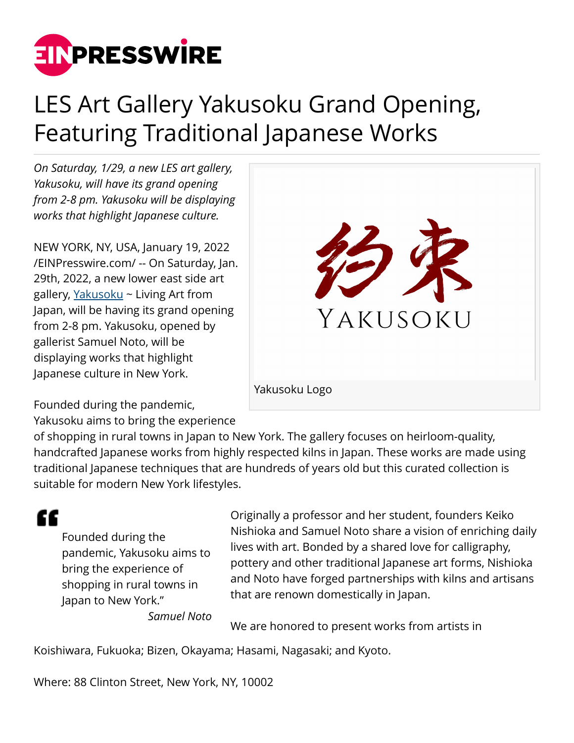

## LES Art Gallery Yakusoku Grand Opening, Featuring Traditional Japanese Works

*On Saturday, 1/29, a new LES art gallery, Yakusoku, will have its grand opening from 2-8 pm. Yakusoku will be displaying works that highlight Japanese culture.*

NEW YORK, NY, USA, January 19, 2022 [/EINPresswire.com/](http://www.einpresswire.com) -- On Saturday, Jan. 29th, 2022, a new lower east side art gallery, [Yakusoku](https://www.yakusoku.co/) ~ Living Art from Japan, will be having its grand opening from 2-8 pm. Yakusoku, opened by gallerist Samuel Noto, will be displaying works that highlight Japanese culture in New York.



Yakusoku Logo

Founded during the pandemic,

Yakusoku aims to bring the experience

of shopping in rural towns in Japan to New York. The gallery focuses on heirloom-quality, handcrafted Japanese works from highly respected kilns in Japan. These works are made using traditional Japanese techniques that are hundreds of years old but this curated collection is suitable for modern New York lifestyles.

"

Founded during the pandemic, Yakusoku aims to bring the experience of shopping in rural towns in Japan to New York."

Originally a professor and her student, founders Keiko Nishioka and Samuel Noto share a vision of enriching daily lives with art. Bonded by a shared love for calligraphy, pottery and other traditional Japanese art forms, Nishioka and Noto have forged partnerships with kilns and artisans that are renown domestically in Japan.

*Samuel Noto*

We are honored to present works from artists in

Koishiwara, Fukuoka; Bizen, Okayama; Hasami, Nagasaki; and Kyoto.

Where: 88 Clinton Street, New York, NY, 10002